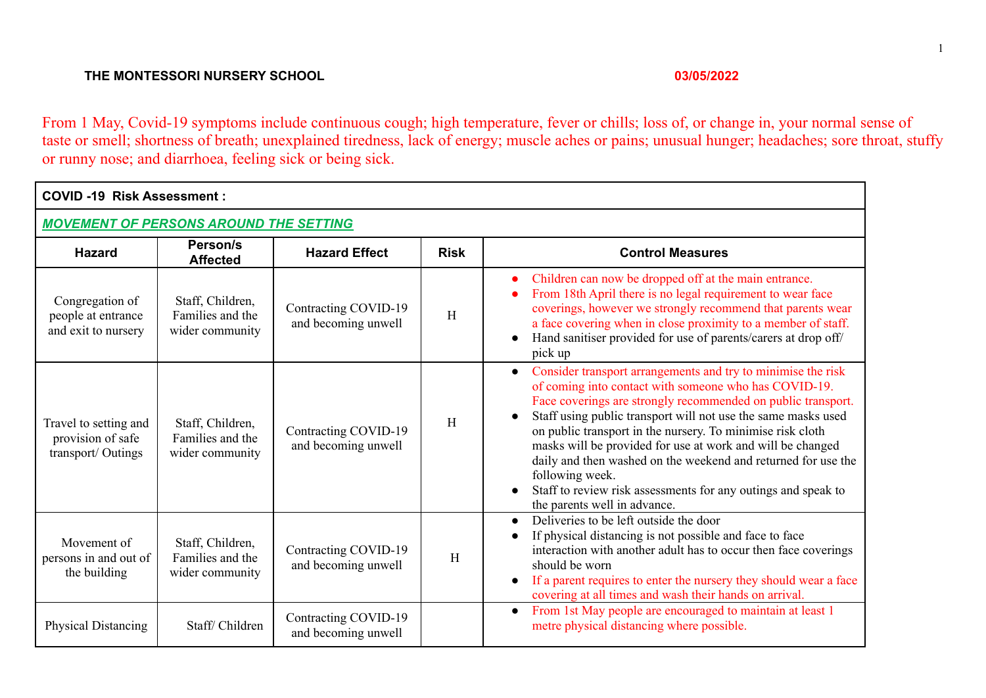## **THE MONTESSORI NURSERY SCHOOL 03/05/2022**

From 1 May, Covid-19 symptoms include continuous cough; high temperature, fever or chills; loss of, or change in, your normal sense of taste or smell; shortness of breath; unexplained tiredness, lack of energy; muscle aches or pains; unusual hunger; headaches; sore throat, stuffy or runny nose; and diarrhoea, feeling sick or being sick.

| <b>COVID-19 Risk Assessment:</b>                                 |                                                         |                                             |             |                                                                                                                                                                                                                                                                                                                                                                                                                                                                                                                                                                                      |  |
|------------------------------------------------------------------|---------------------------------------------------------|---------------------------------------------|-------------|--------------------------------------------------------------------------------------------------------------------------------------------------------------------------------------------------------------------------------------------------------------------------------------------------------------------------------------------------------------------------------------------------------------------------------------------------------------------------------------------------------------------------------------------------------------------------------------|--|
| <b>MOVEMENT OF PERSONS AROUND THE SETTING</b>                    |                                                         |                                             |             |                                                                                                                                                                                                                                                                                                                                                                                                                                                                                                                                                                                      |  |
| <b>Hazard</b>                                                    | Person/s<br><b>Affected</b>                             | <b>Hazard Effect</b>                        | <b>Risk</b> | <b>Control Measures</b>                                                                                                                                                                                                                                                                                                                                                                                                                                                                                                                                                              |  |
| Congregation of<br>people at entrance<br>and exit to nursery     | Staff, Children,<br>Families and the<br>wider community | Contracting COVID-19<br>and becoming unwell | H           | Children can now be dropped off at the main entrance.<br>From 18th April there is no legal requirement to wear face<br>coverings, however we strongly recommend that parents wear<br>a face covering when in close proximity to a member of staff.<br>Hand sanitiser provided for use of parents/carers at drop off/<br>pick up                                                                                                                                                                                                                                                      |  |
| Travel to setting and<br>provision of safe<br>transport/ Outings | Staff, Children,<br>Families and the<br>wider community | Contracting COVID-19<br>and becoming unwell | H           | Consider transport arrangements and try to minimise the risk<br>$\bullet$<br>of coming into contact with someone who has COVID-19.<br>Face coverings are strongly recommended on public transport.<br>Staff using public transport will not use the same masks used<br>on public transport in the nursery. To minimise risk cloth<br>masks will be provided for use at work and will be changed<br>daily and then washed on the weekend and returned for use the<br>following week.<br>Staff to review risk assessments for any outings and speak to<br>the parents well in advance. |  |
| Movement of<br>persons in and out of<br>the building             | Staff, Children,<br>Families and the<br>wider community | Contracting COVID-19<br>and becoming unwell | H           | Deliveries to be left outside the door<br>$\bullet$<br>If physical distancing is not possible and face to face<br>interaction with another adult has to occur then face coverings<br>should be worn<br>If a parent requires to enter the nursery they should wear a face<br>covering at all times and wash their hands on arrival.                                                                                                                                                                                                                                                   |  |
| <b>Physical Distancing</b>                                       | Staff/Children                                          | Contracting COVID-19<br>and becoming unwell |             | From 1st May people are encouraged to maintain at least 1<br>$\bullet$<br>metre physical distancing where possible.                                                                                                                                                                                                                                                                                                                                                                                                                                                                  |  |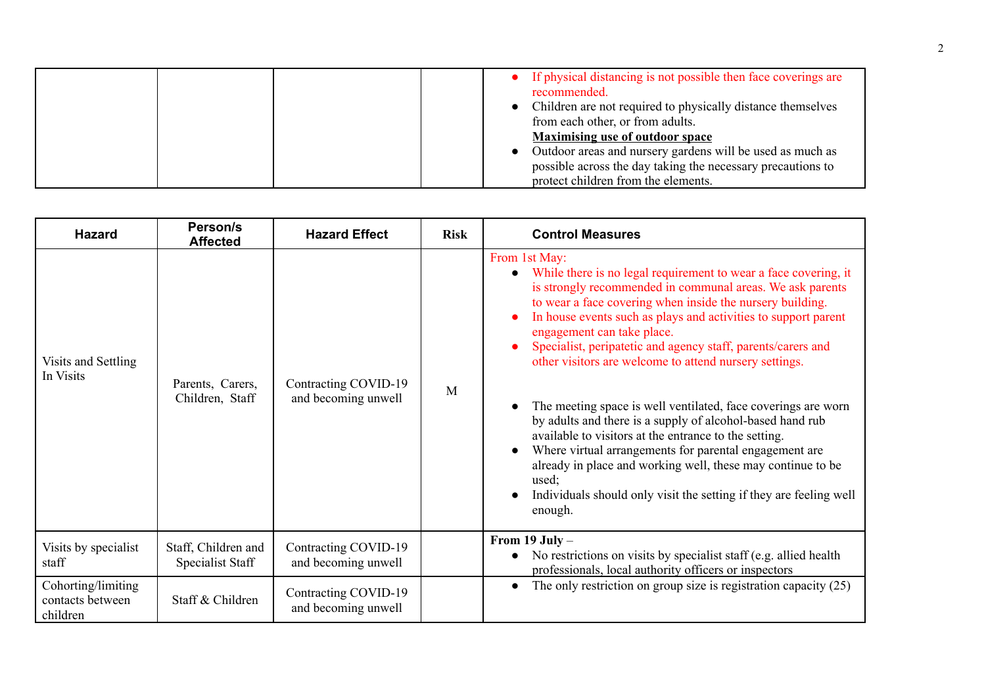|  |  | • If physical distancing is not possible then face coverings are |
|--|--|------------------------------------------------------------------|
|  |  | recommended.                                                     |
|  |  | • Children are not required to physically distance themselves    |
|  |  | from each other, or from adults.                                 |
|  |  | <b>Maximising use of outdoor space</b>                           |
|  |  | Outdoor areas and nursery gardens will be used as much as        |
|  |  | possible across the day taking the necessary precautions to      |
|  |  | protect children from the elements.                              |

| <b>Hazard</b>                                      | Person/s<br><b>Affected</b>             | <b>Hazard Effect</b>                        | <b>Risk</b> | <b>Control Measures</b>                                                                                                                                                                                                                                                                                                                                                                                                                                                                                                                                                                                                                                                                                                                                                                                                                        |
|----------------------------------------------------|-----------------------------------------|---------------------------------------------|-------------|------------------------------------------------------------------------------------------------------------------------------------------------------------------------------------------------------------------------------------------------------------------------------------------------------------------------------------------------------------------------------------------------------------------------------------------------------------------------------------------------------------------------------------------------------------------------------------------------------------------------------------------------------------------------------------------------------------------------------------------------------------------------------------------------------------------------------------------------|
| Visits and Settling<br>In Visits                   | Parents, Carers,<br>Children, Staff     | Contracting COVID-19<br>and becoming unwell | M           | From 1st May:<br>While there is no legal requirement to wear a face covering, it<br>is strongly recommended in communal areas. We ask parents<br>to wear a face covering when inside the nursery building.<br>In house events such as plays and activities to support parent<br>engagement can take place.<br>Specialist, peripatetic and agency staff, parents/carers and<br>other visitors are welcome to attend nursery settings.<br>The meeting space is well ventilated, face coverings are worn<br>by adults and there is a supply of alcohol-based hand rub<br>available to visitors at the entrance to the setting.<br>Where virtual arrangements for parental engagement are<br>already in place and working well, these may continue to be<br>used;<br>Individuals should only visit the setting if they are feeling well<br>enough. |
| Visits by specialist<br>staff                      | Staff, Children and<br>Specialist Staff | Contracting COVID-19<br>and becoming unwell |             | From $19$ July -<br>No restrictions on visits by specialist staff (e.g. allied health)<br>professionals, local authority officers or inspectors                                                                                                                                                                                                                                                                                                                                                                                                                                                                                                                                                                                                                                                                                                |
| Cohorting/limiting<br>contacts between<br>children | Staff & Children                        | Contracting COVID-19<br>and becoming unwell |             | The only restriction on group size is registration capacity $(25)$                                                                                                                                                                                                                                                                                                                                                                                                                                                                                                                                                                                                                                                                                                                                                                             |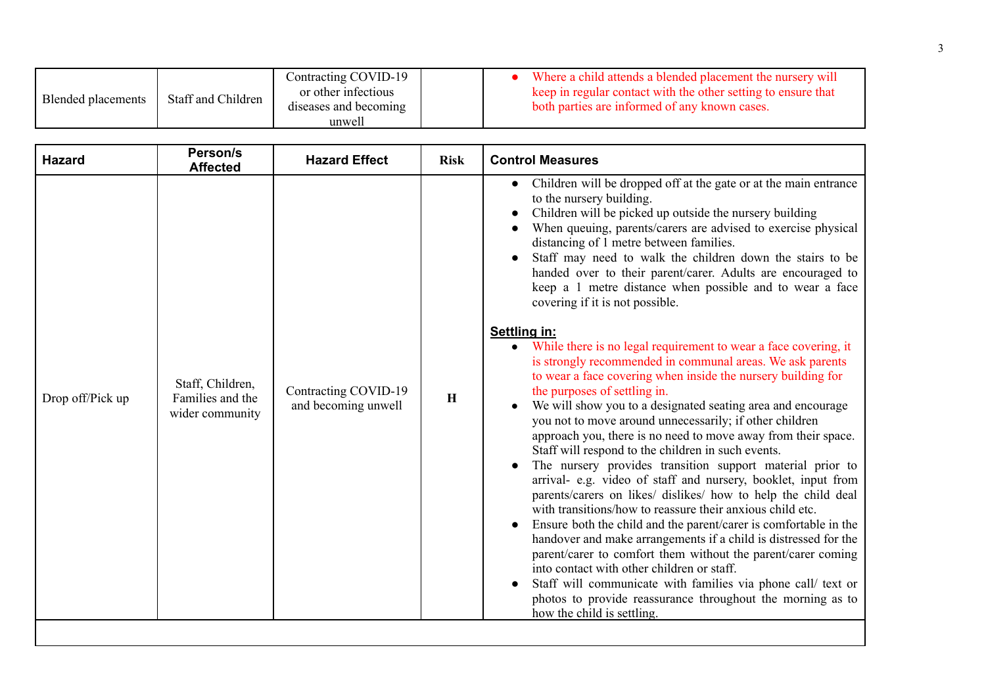| Blended placements |                    | Contracting COVID-19  | Where a child attends a blended placement the nursery will    |
|--------------------|--------------------|-----------------------|---------------------------------------------------------------|
|                    | Staff and Children | or other infectious   | keep in regular contact with the other setting to ensure that |
|                    |                    | diseases and becoming | both parties are informed of any known cases.                 |
|                    |                    | unwell                |                                                               |

| <b>Hazard</b>    | Person/s<br><b>Affected</b>                             | <b>Hazard Effect</b>                        | <b>Risk</b> | <b>Control Measures</b>                                                                                                                                                                                                                                                                                                                                                                                                                                                                                                                                                                                                                                                                                                                                                                                                                                                                                                                                                                                                                                                                                                                                                                                                                                                                                                                                                                                                                                                                                                                                                                         |
|------------------|---------------------------------------------------------|---------------------------------------------|-------------|-------------------------------------------------------------------------------------------------------------------------------------------------------------------------------------------------------------------------------------------------------------------------------------------------------------------------------------------------------------------------------------------------------------------------------------------------------------------------------------------------------------------------------------------------------------------------------------------------------------------------------------------------------------------------------------------------------------------------------------------------------------------------------------------------------------------------------------------------------------------------------------------------------------------------------------------------------------------------------------------------------------------------------------------------------------------------------------------------------------------------------------------------------------------------------------------------------------------------------------------------------------------------------------------------------------------------------------------------------------------------------------------------------------------------------------------------------------------------------------------------------------------------------------------------------------------------------------------------|
| Drop off/Pick up | Staff, Children,<br>Families and the<br>wider community | Contracting COVID-19<br>and becoming unwell | H           | • Children will be dropped off at the gate or at the main entrance<br>to the nursery building.<br>Children will be picked up outside the nursery building<br>When queuing, parents/carers are advised to exercise physical<br>$\bullet$<br>distancing of 1 metre between families.<br>Staff may need to walk the children down the stairs to be<br>handed over to their parent/carer. Adults are encouraged to<br>keep a 1 metre distance when possible and to wear a face<br>covering if it is not possible.<br>Settling in:<br>While there is no legal requirement to wear a face covering, it<br>is strongly recommended in communal areas. We ask parents<br>to wear a face covering when inside the nursery building for<br>the purposes of settling in.<br>We will show you to a designated seating area and encourage<br>you not to move around unnecessarily; if other children<br>approach you, there is no need to move away from their space.<br>Staff will respond to the children in such events.<br>The nursery provides transition support material prior to<br>arrival- e.g. video of staff and nursery, booklet, input from<br>parents/carers on likes/ dislikes/ how to help the child deal<br>with transitions/how to reassure their anxious child etc.<br>Ensure both the child and the parent/carer is comfortable in the<br>handover and make arrangements if a child is distressed for the<br>parent/carer to comfort them without the parent/carer coming<br>into contact with other children or staff.<br>Staff will communicate with families via phone call/ text or |
|                  |                                                         |                                             |             | photos to provide reassurance throughout the morning as to<br>how the child is settling.                                                                                                                                                                                                                                                                                                                                                                                                                                                                                                                                                                                                                                                                                                                                                                                                                                                                                                                                                                                                                                                                                                                                                                                                                                                                                                                                                                                                                                                                                                        |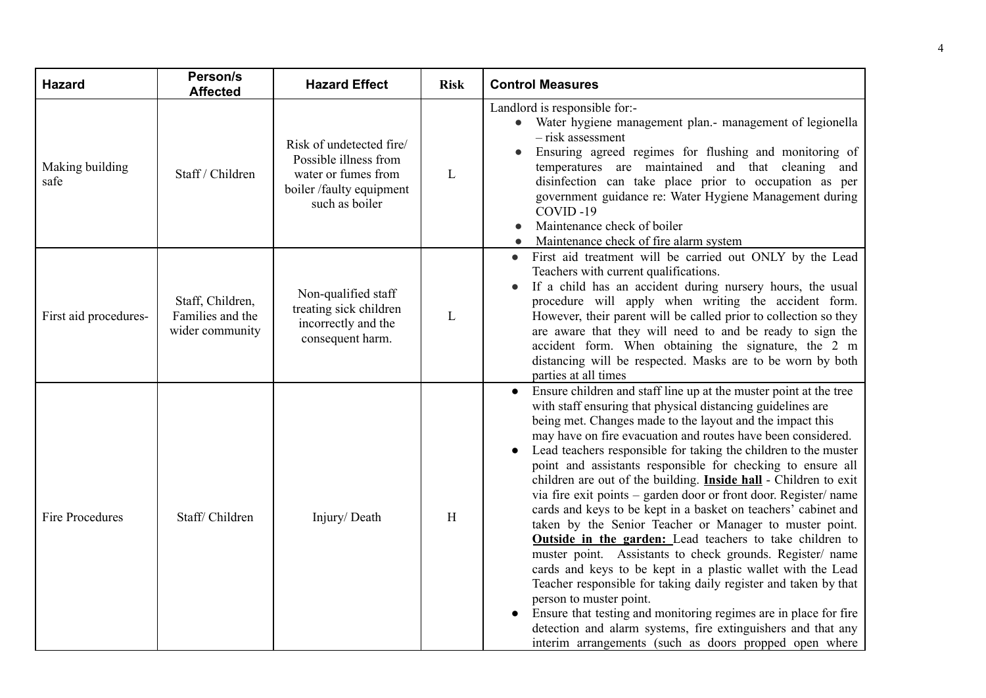| <b>Hazard</b>           | Person/s<br><b>Affected</b>                             | <b>Hazard Effect</b>                                                                                                  | <b>Risk</b> | <b>Control Measures</b>                                                                                                                                                                                                                                                                                                                                                                                                                                                                                                                                                                                                                                                                                                                                                                                                                                                                                                                                                                                                                                                                                                                                                      |
|-------------------------|---------------------------------------------------------|-----------------------------------------------------------------------------------------------------------------------|-------------|------------------------------------------------------------------------------------------------------------------------------------------------------------------------------------------------------------------------------------------------------------------------------------------------------------------------------------------------------------------------------------------------------------------------------------------------------------------------------------------------------------------------------------------------------------------------------------------------------------------------------------------------------------------------------------------------------------------------------------------------------------------------------------------------------------------------------------------------------------------------------------------------------------------------------------------------------------------------------------------------------------------------------------------------------------------------------------------------------------------------------------------------------------------------------|
| Making building<br>safe | Staff / Children                                        | Risk of undetected fire/<br>Possible illness from<br>water or fumes from<br>boiler/faulty equipment<br>such as boiler | L           | Landlord is responsible for:-<br>• Water hygiene management plan.- management of legionella<br>- risk assessment<br>Ensuring agreed regimes for flushing and monitoring of<br>temperatures are maintained and that cleaning and<br>disinfection can take place prior to occupation as per<br>government guidance re: Water Hygiene Management during<br>COVID-19<br>Maintenance check of boiler<br>Maintenance check of fire alarm system                                                                                                                                                                                                                                                                                                                                                                                                                                                                                                                                                                                                                                                                                                                                    |
| First aid procedures-   | Staff, Children,<br>Families and the<br>wider community | Non-qualified staff<br>treating sick children<br>incorrectly and the<br>consequent harm.                              | L           | First aid treatment will be carried out ONLY by the Lead<br>$\bullet$<br>Teachers with current qualifications.<br>If a child has an accident during nursery hours, the usual<br>procedure will apply when writing the accident form.<br>However, their parent will be called prior to collection so they<br>are aware that they will need to and be ready to sign the<br>accident form. When obtaining the signature, the 2 m<br>distancing will be respected. Masks are to be worn by both<br>parties at all times                                                                                                                                                                                                                                                                                                                                                                                                                                                                                                                                                                                                                                                          |
| <b>Fire Procedures</b>  | Staff/Children                                          | Injury/Death                                                                                                          | H           | Ensure children and staff line up at the muster point at the tree<br>$\bullet$<br>with staff ensuring that physical distancing guidelines are<br>being met. Changes made to the layout and the impact this<br>may have on fire evacuation and routes have been considered.<br>Lead teachers responsible for taking the children to the muster<br>point and assistants responsible for checking to ensure all<br>children are out of the building. Inside hall - Children to exit<br>via fire exit points – garden door or front door. Register/ name<br>cards and keys to be kept in a basket on teachers' cabinet and<br>taken by the Senior Teacher or Manager to muster point.<br><b>Outside in the garden:</b> Lead teachers to take children to<br>muster point. Assistants to check grounds. Register/ name<br>cards and keys to be kept in a plastic wallet with the Lead<br>Teacher responsible for taking daily register and taken by that<br>person to muster point.<br>Ensure that testing and monitoring regimes are in place for fire<br>detection and alarm systems, fire extinguishers and that any<br>interim arrangements (such as doors propped open where |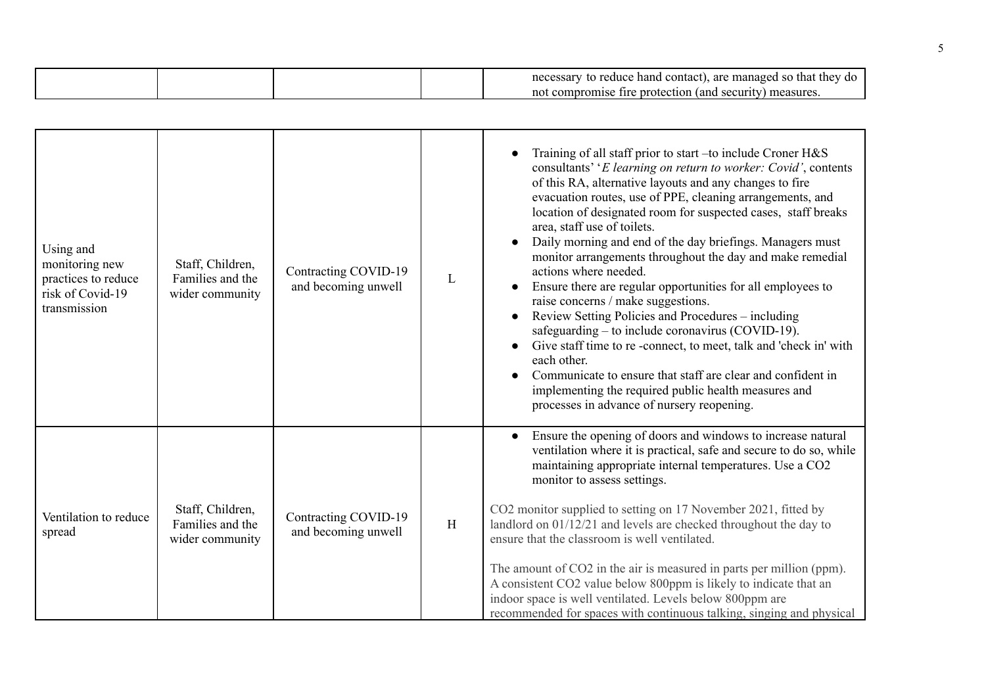|  |  | conta<br>hand<br>эанс<br>d G<br>tna<br>mana.<br>не<br>K<br>ИΙ<br>.ъа. |
|--|--|-----------------------------------------------------------------------|
|  |  | ∙an.<br>поп<br>no<br>-811.<br>nr<br>ш<br>arnis<br>ne<br>nni<br>.      |

| Using and<br>monitoring new<br>practices to reduce<br>risk of Covid-19<br>transmission | Staff, Children,<br>Families and the<br>wider community | Contracting COVID-19<br>and becoming unwell | L | Training of all staff prior to start –to include Croner H&S<br>consultants' 'E learning on return to worker: Covid', contents<br>of this RA, alternative layouts and any changes to fire<br>evacuation routes, use of PPE, cleaning arrangements, and<br>location of designated room for suspected cases, staff breaks<br>area, staff use of toilets.<br>Daily morning and end of the day briefings. Managers must<br>monitor arrangements throughout the day and make remedial<br>actions where needed.<br>Ensure there are regular opportunities for all employees to<br>raise concerns / make suggestions.<br>Review Setting Policies and Procedures - including<br>safeguarding - to include coronavirus (COVID-19).<br>Give staff time to re-connect, to meet, talk and 'check in' with<br>each other.<br>Communicate to ensure that staff are clear and confident in<br>implementing the required public health measures and<br>processes in advance of nursery reopening. |
|----------------------------------------------------------------------------------------|---------------------------------------------------------|---------------------------------------------|---|----------------------------------------------------------------------------------------------------------------------------------------------------------------------------------------------------------------------------------------------------------------------------------------------------------------------------------------------------------------------------------------------------------------------------------------------------------------------------------------------------------------------------------------------------------------------------------------------------------------------------------------------------------------------------------------------------------------------------------------------------------------------------------------------------------------------------------------------------------------------------------------------------------------------------------------------------------------------------------|
| Ventilation to reduce<br>spread                                                        | Staff, Children,<br>Families and the<br>wider community | Contracting COVID-19<br>and becoming unwell | H | Ensure the opening of doors and windows to increase natural<br>ventilation where it is practical, safe and secure to do so, while<br>maintaining appropriate internal temperatures. Use a CO2<br>monitor to assess settings.<br>CO2 monitor supplied to setting on 17 November 2021, fitted by<br>landlord on $01/12/21$ and levels are checked throughout the day to<br>ensure that the classroom is well ventilated.<br>The amount of CO2 in the air is measured in parts per million (ppm).<br>A consistent CO2 value below 800ppm is likely to indicate that an<br>indoor space is well ventilated. Levels below 800ppm are<br>recommended for spaces with continuous talking, singing and physical                                                                                                                                                                                                                                                                          |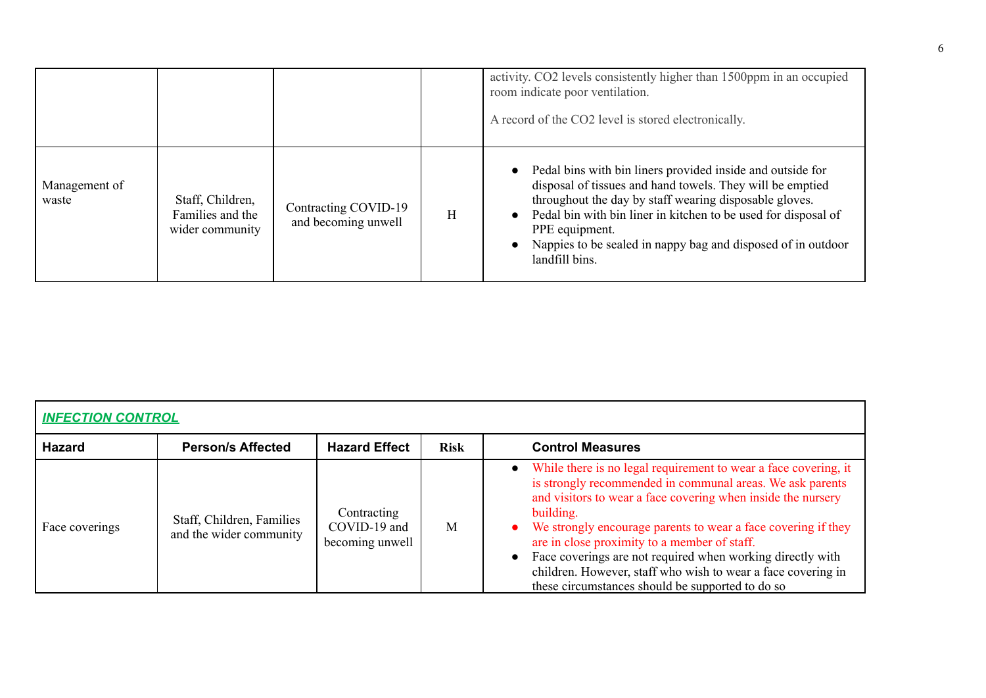|                        |                                                         |                                             |   | activity. CO2 levels consistently higher than 1500ppm in an occupied<br>room indicate poor ventilation.<br>A record of the CO2 level is stored electronically.                                                                                                                                                                                                         |
|------------------------|---------------------------------------------------------|---------------------------------------------|---|------------------------------------------------------------------------------------------------------------------------------------------------------------------------------------------------------------------------------------------------------------------------------------------------------------------------------------------------------------------------|
| Management of<br>waste | Staff, Children,<br>Families and the<br>wider community | Contracting COVID-19<br>and becoming unwell | H | • Pedal bins with bin liners provided inside and outside for<br>disposal of tissues and hand towels. They will be emptied<br>throughout the day by staff wearing disposable gloves.<br>Pedal bin with bin liner in kitchen to be used for disposal of<br>$\bullet$<br>PPE equipment.<br>Nappies to be sealed in nappy bag and disposed of in outdoor<br>landfill bins. |

| <b>INFECTION CONTROL</b> |                                                      |                                                |             |                                                                                                                                                                                                                                                                                                                                                                                                                                                                                                              |
|--------------------------|------------------------------------------------------|------------------------------------------------|-------------|--------------------------------------------------------------------------------------------------------------------------------------------------------------------------------------------------------------------------------------------------------------------------------------------------------------------------------------------------------------------------------------------------------------------------------------------------------------------------------------------------------------|
| <b>Hazard</b>            | <b>Person/s Affected</b>                             | <b>Hazard Effect</b>                           | <b>Risk</b> | <b>Control Measures</b>                                                                                                                                                                                                                                                                                                                                                                                                                                                                                      |
| Face coverings           | Staff, Children, Families<br>and the wider community | Contracting<br>COVID-19 and<br>becoming unwell | M           | While there is no legal requirement to wear a face covering, it<br>is strongly recommended in communal areas. We ask parents<br>and visitors to wear a face covering when inside the nursery<br>building.<br>We strongly encourage parents to wear a face covering if they<br>are in close proximity to a member of staff.<br>Face coverings are not required when working directly with<br>children. However, staff who wish to wear a face covering in<br>these circumstances should be supported to do so |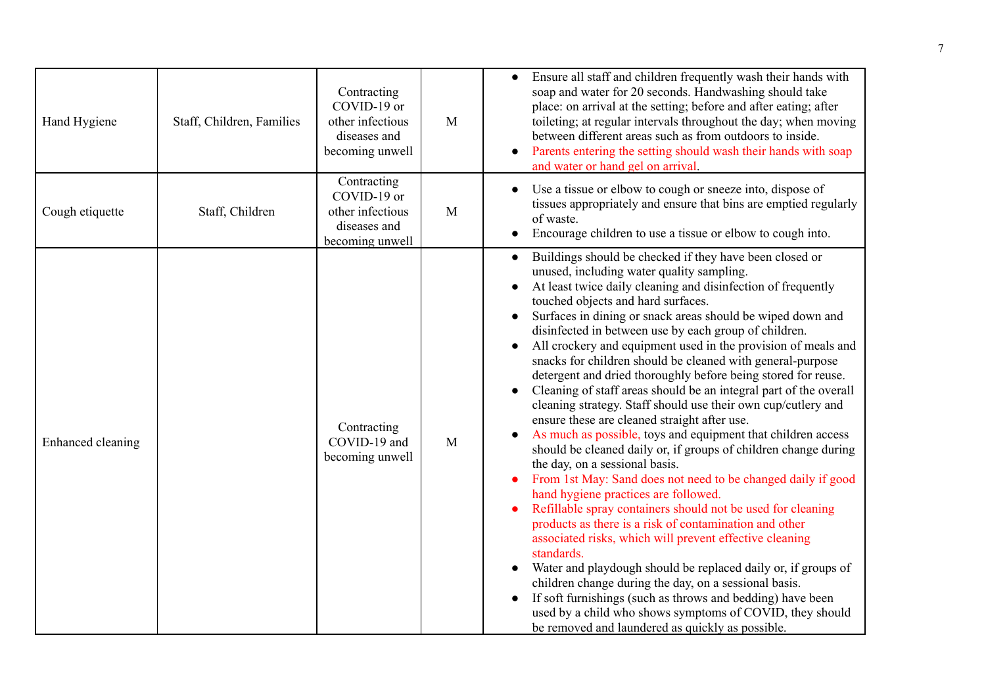| Hand Hygiene      | Staff, Children, Families | Contracting<br>COVID-19 or<br>other infectious<br>diseases and<br>becoming unwell | M | Ensure all staff and children frequently wash their hands with<br>soap and water for 20 seconds. Handwashing should take<br>place: on arrival at the setting; before and after eating; after<br>toileting; at regular intervals throughout the day; when moving<br>between different areas such as from outdoors to inside.<br>Parents entering the setting should wash their hands with soap<br>and water or hand gel on arrival.                                                                                                                                                                                                                                                                                                                                                                                                                                                                                                                                                                                                                                                                                                                                                                                                                                                                                                                                                                                                                                                                             |
|-------------------|---------------------------|-----------------------------------------------------------------------------------|---|----------------------------------------------------------------------------------------------------------------------------------------------------------------------------------------------------------------------------------------------------------------------------------------------------------------------------------------------------------------------------------------------------------------------------------------------------------------------------------------------------------------------------------------------------------------------------------------------------------------------------------------------------------------------------------------------------------------------------------------------------------------------------------------------------------------------------------------------------------------------------------------------------------------------------------------------------------------------------------------------------------------------------------------------------------------------------------------------------------------------------------------------------------------------------------------------------------------------------------------------------------------------------------------------------------------------------------------------------------------------------------------------------------------------------------------------------------------------------------------------------------------|
| Cough etiquette   | Staff, Children           | Contracting<br>COVID-19 or<br>other infectious<br>diseases and<br>becoming unwell | M | Use a tissue or elbow to cough or sneeze into, dispose of<br>tissues appropriately and ensure that bins are emptied regularly<br>of waste.<br>Encourage children to use a tissue or elbow to cough into.                                                                                                                                                                                                                                                                                                                                                                                                                                                                                                                                                                                                                                                                                                                                                                                                                                                                                                                                                                                                                                                                                                                                                                                                                                                                                                       |
| Enhanced cleaning |                           | Contracting<br>COVID-19 and<br>becoming unwell                                    | M | Buildings should be checked if they have been closed or<br>unused, including water quality sampling.<br>At least twice daily cleaning and disinfection of frequently<br>touched objects and hard surfaces.<br>Surfaces in dining or snack areas should be wiped down and<br>disinfected in between use by each group of children.<br>All crockery and equipment used in the provision of meals and<br>snacks for children should be cleaned with general-purpose<br>detergent and dried thoroughly before being stored for reuse.<br>Cleaning of staff areas should be an integral part of the overall<br>cleaning strategy. Staff should use their own cup/cutlery and<br>ensure these are cleaned straight after use.<br>As much as possible, toys and equipment that children access<br>should be cleaned daily or, if groups of children change during<br>the day, on a sessional basis.<br>From 1st May: Sand does not need to be changed daily if good<br>hand hygiene practices are followed.<br>Refillable spray containers should not be used for cleaning<br>products as there is a risk of contamination and other<br>associated risks, which will prevent effective cleaning<br>standards.<br>Water and playdough should be replaced daily or, if groups of<br>children change during the day, on a sessional basis.<br>If soft furnishings (such as throws and bedding) have been<br>used by a child who shows symptoms of COVID, they should<br>be removed and laundered as quickly as possible. |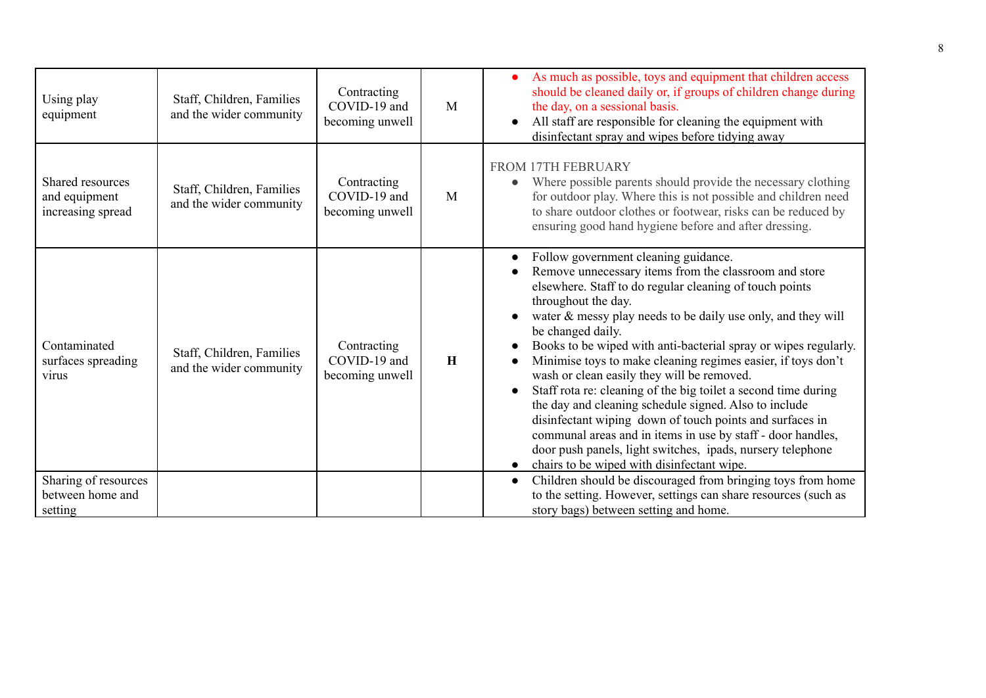| Using play<br>equipment                                | Staff, Children, Families<br>and the wider community | Contracting<br>COVID-19 and<br>becoming unwell | M | As much as possible, toys and equipment that children access<br>should be cleaned daily or, if groups of children change during<br>the day, on a sessional basis.<br>All staff are responsible for cleaning the equipment with<br>disinfectant spray and wipes before tidying away                                                                                                                                                                                                                                                                                                                                                                                                                                                                                                                                      |
|--------------------------------------------------------|------------------------------------------------------|------------------------------------------------|---|-------------------------------------------------------------------------------------------------------------------------------------------------------------------------------------------------------------------------------------------------------------------------------------------------------------------------------------------------------------------------------------------------------------------------------------------------------------------------------------------------------------------------------------------------------------------------------------------------------------------------------------------------------------------------------------------------------------------------------------------------------------------------------------------------------------------------|
| Shared resources<br>and equipment<br>increasing spread | Staff, Children, Families<br>and the wider community | Contracting<br>COVID-19 and<br>becoming unwell | M | <b>FROM 17TH FEBRUARY</b><br>Where possible parents should provide the necessary clothing<br>for outdoor play. Where this is not possible and children need<br>to share outdoor clothes or footwear, risks can be reduced by<br>ensuring good hand hygiene before and after dressing.                                                                                                                                                                                                                                                                                                                                                                                                                                                                                                                                   |
| Contaminated<br>surfaces spreading<br>virus            | Staff, Children, Families<br>and the wider community | Contracting<br>COVID-19 and<br>becoming unwell | H | Follow government cleaning guidance.<br>Remove unnecessary items from the classroom and store<br>elsewhere. Staff to do regular cleaning of touch points<br>throughout the day.<br>water & messy play needs to be daily use only, and they will<br>be changed daily.<br>Books to be wiped with anti-bacterial spray or wipes regularly.<br>Minimise toys to make cleaning regimes easier, if toys don't<br>wash or clean easily they will be removed.<br>Staff rota re: cleaning of the big toilet a second time during<br>the day and cleaning schedule signed. Also to include<br>disinfectant wiping down of touch points and surfaces in<br>communal areas and in items in use by staff - door handles,<br>door push panels, light switches, ipads, nursery telephone<br>chairs to be wiped with disinfectant wipe. |
| Sharing of resources<br>between home and<br>setting    |                                                      |                                                |   | Children should be discouraged from bringing toys from home<br>$\bullet$<br>to the setting. However, settings can share resources (such as<br>story bags) between setting and home.                                                                                                                                                                                                                                                                                                                                                                                                                                                                                                                                                                                                                                     |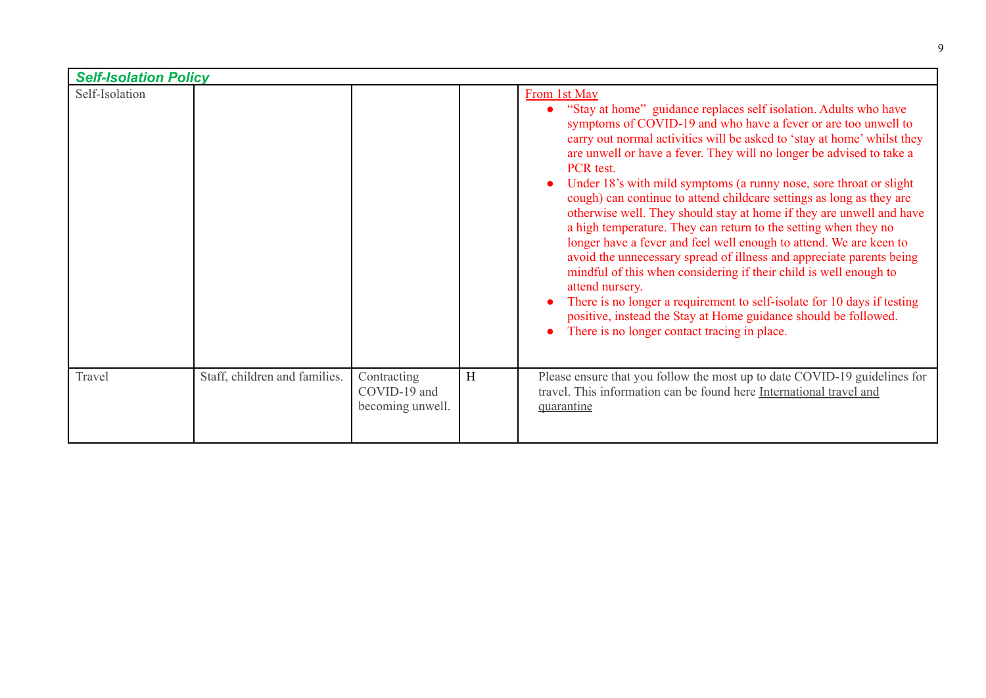| <b>Self-Isolation Policy</b> |                               |                                                 |   |                                                                                                                                                                                                                                                                                                                                                                                                                                                                                                                                                                                                                                                                                                                                                                                                                                                                                                                                                                                                                                                  |  |
|------------------------------|-------------------------------|-------------------------------------------------|---|--------------------------------------------------------------------------------------------------------------------------------------------------------------------------------------------------------------------------------------------------------------------------------------------------------------------------------------------------------------------------------------------------------------------------------------------------------------------------------------------------------------------------------------------------------------------------------------------------------------------------------------------------------------------------------------------------------------------------------------------------------------------------------------------------------------------------------------------------------------------------------------------------------------------------------------------------------------------------------------------------------------------------------------------------|--|
| Self-Isolation               |                               |                                                 |   | From 1st May<br>"Stay at home" guidance replaces self isolation. Adults who have<br>symptoms of COVID-19 and who have a fever or are too unwell to<br>carry out normal activities will be asked to 'stay at home' whilst they<br>are unwell or have a fever. They will no longer be advised to take a<br>PCR test.<br>Under 18's with mild symptoms (a runny nose, sore throat or slight)<br>cough) can continue to attend childcare settings as long as they are<br>otherwise well. They should stay at home if they are unwell and have<br>a high temperature. They can return to the setting when they no<br>longer have a fever and feel well enough to attend. We are keen to<br>avoid the unnecessary spread of illness and appreciate parents being<br>mindful of this when considering if their child is well enough to<br>attend nursery.<br>There is no longer a requirement to self-isolate for 10 days if testing<br>positive, instead the Stay at Home guidance should be followed.<br>There is no longer contact tracing in place. |  |
| Travel                       | Staff, children and families. | Contracting<br>COVID-19 and<br>becoming unwell. | H | Please ensure that you follow the most up to date COVID-19 guidelines for<br>travel. This information can be found here International travel and<br><i><u><u><u>quarantine</u></u></u></i>                                                                                                                                                                                                                                                                                                                                                                                                                                                                                                                                                                                                                                                                                                                                                                                                                                                       |  |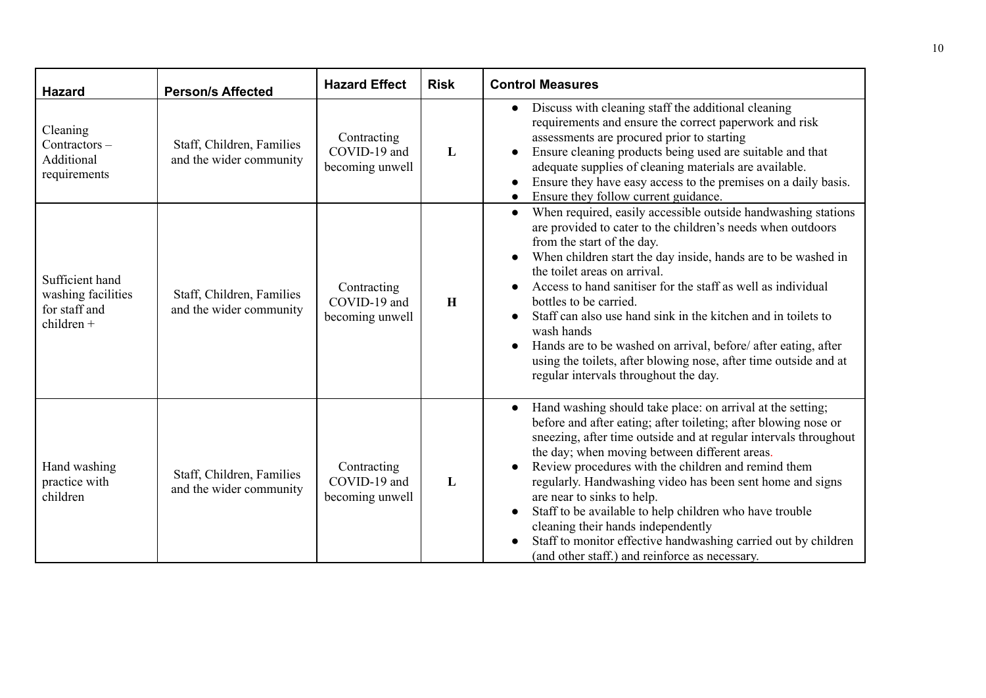| <b>Hazard</b>                                                          | <b>Person/s Affected</b>                             | <b>Hazard Effect</b>                           | <b>Risk</b> | <b>Control Measures</b>                                                                                                                                                                                                                                                                                                                                                                                                                                                                                                                                                                                                                |
|------------------------------------------------------------------------|------------------------------------------------------|------------------------------------------------|-------------|----------------------------------------------------------------------------------------------------------------------------------------------------------------------------------------------------------------------------------------------------------------------------------------------------------------------------------------------------------------------------------------------------------------------------------------------------------------------------------------------------------------------------------------------------------------------------------------------------------------------------------------|
| Cleaning<br>Contractors-<br>Additional<br>requirements                 | Staff, Children, Families<br>and the wider community | Contracting<br>COVID-19 and<br>becoming unwell | L           | Discuss with cleaning staff the additional cleaning<br>$\bullet$<br>requirements and ensure the correct paperwork and risk<br>assessments are procured prior to starting<br>Ensure cleaning products being used are suitable and that<br>adequate supplies of cleaning materials are available.<br>Ensure they have easy access to the premises on a daily basis.<br>Ensure they follow current guidance.<br>$\bullet$                                                                                                                                                                                                                 |
| Sufficient hand<br>washing facilities<br>for staff and<br>$children +$ | Staff, Children, Families<br>and the wider community | Contracting<br>COVID-19 and<br>becoming unwell | H           | When required, easily accessible outside handwashing stations<br>$\bullet$<br>are provided to cater to the children's needs when outdoors<br>from the start of the day.<br>When children start the day inside, hands are to be washed in<br>the toilet areas on arrival.<br>Access to hand sanitiser for the staff as well as individual<br>bottles to be carried.<br>Staff can also use hand sink in the kitchen and in toilets to<br>wash hands<br>Hands are to be washed on arrival, before/ after eating, after<br>using the toilets, after blowing nose, after time outside and at<br>regular intervals throughout the day.       |
| Hand washing<br>practice with<br>children                              | Staff, Children, Families<br>and the wider community | Contracting<br>COVID-19 and<br>becoming unwell | L           | Hand washing should take place: on arrival at the setting;<br>$\bullet$<br>before and after eating; after toileting; after blowing nose or<br>sneezing, after time outside and at regular intervals throughout<br>the day; when moving between different areas.<br>Review procedures with the children and remind them<br>regularly. Handwashing video has been sent home and signs<br>are near to sinks to help.<br>Staff to be available to help children who have trouble<br>cleaning their hands independently<br>Staff to monitor effective handwashing carried out by children<br>(and other staff.) and reinforce as necessary. |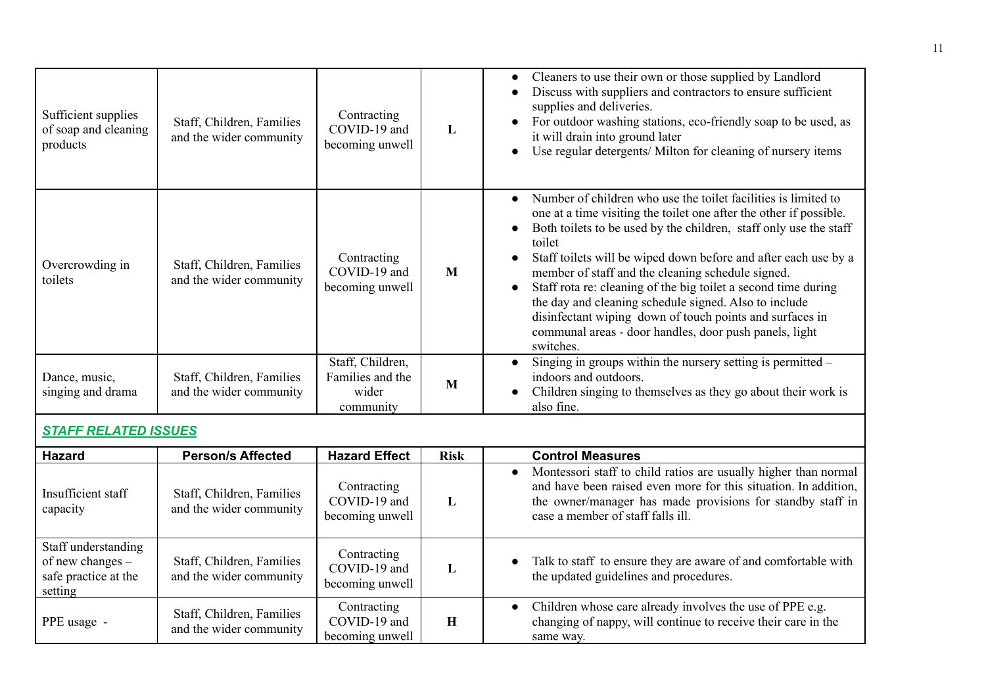| Sufficient supplies<br>of soap and cleaning<br>products | Staff, Children, Families<br>and the wider community | Contracting<br>COVID-19 and<br>becoming unwell             | L | Cleaners to use their own or those supplied by Landlord<br>$\bullet$<br>Discuss with suppliers and contractors to ensure sufficient<br>$\bullet$<br>supplies and deliveries.<br>For outdoor washing stations, eco-friendly soap to be used, as<br>it will drain into ground later<br>Use regular detergents/ Milton for cleaning of nursery items<br>$\bullet$                                                                                                                                                                                                                                                                      |
|---------------------------------------------------------|------------------------------------------------------|------------------------------------------------------------|---|-------------------------------------------------------------------------------------------------------------------------------------------------------------------------------------------------------------------------------------------------------------------------------------------------------------------------------------------------------------------------------------------------------------------------------------------------------------------------------------------------------------------------------------------------------------------------------------------------------------------------------------|
| Overcrowding in<br>toilets                              | Staff, Children, Families<br>and the wider community | Contracting<br>COVID-19 and<br>becoming unwell             | M | Number of children who use the toilet facilities is limited to<br>$\bullet$<br>one at a time visiting the toilet one after the other if possible.<br>Both toilets to be used by the children, staff only use the staff<br>toilet<br>Staff toilets will be wiped down before and after each use by a<br>member of staff and the cleaning schedule signed.<br>Staff rota re: cleaning of the big toilet a second time during<br>$\bullet$<br>the day and cleaning schedule signed. Also to include<br>disinfectant wiping down of touch points and surfaces in<br>communal areas - door handles, door push panels, light<br>switches. |
| Dance, music,<br>singing and drama                      | Staff, Children, Families<br>and the wider community | Staff, Children,<br>Families and the<br>wider<br>community | M | Singing in groups within the nursery setting is permitted $-$<br>$\bullet$<br>indoors and outdoors.<br>Children singing to themselves as they go about their work is<br>$\bullet$<br>also fine.                                                                                                                                                                                                                                                                                                                                                                                                                                     |

## *STAFF RELATED ISSUES*

| <b>Hazard</b>                                                                | <b>Person/s Affected</b>                             | <b>Hazard Effect</b>                           | <b>Risk</b> | <b>Control Measures</b>                                                                                                                                                                                                                            |
|------------------------------------------------------------------------------|------------------------------------------------------|------------------------------------------------|-------------|----------------------------------------------------------------------------------------------------------------------------------------------------------------------------------------------------------------------------------------------------|
| Insufficient staff<br>capacity                                               | Staff, Children, Families<br>and the wider community | Contracting<br>COVID-19 and<br>becoming unwell | L           | Montessori staff to child ratios are usually higher than normal<br>$\bullet$<br>and have been raised even more for this situation. In addition,<br>the owner/manager has made provisions for standby staff in<br>case a member of staff falls ill. |
| Staff understanding<br>of new changes $-$<br>safe practice at the<br>setting | Staff, Children, Families<br>and the wider community | Contracting<br>COVID-19 and<br>becoming unwell | .,          | • Talk to staff to ensure they are aware of and comfortable with<br>the updated guidelines and procedures.                                                                                                                                         |
| PPE usage -                                                                  | Staff, Children, Families<br>and the wider community | Contracting<br>COVID-19 and<br>becoming unwell | H           | • Children whose care already involves the use of PPE e.g.<br>changing of nappy, will continue to receive their care in the<br>same way.                                                                                                           |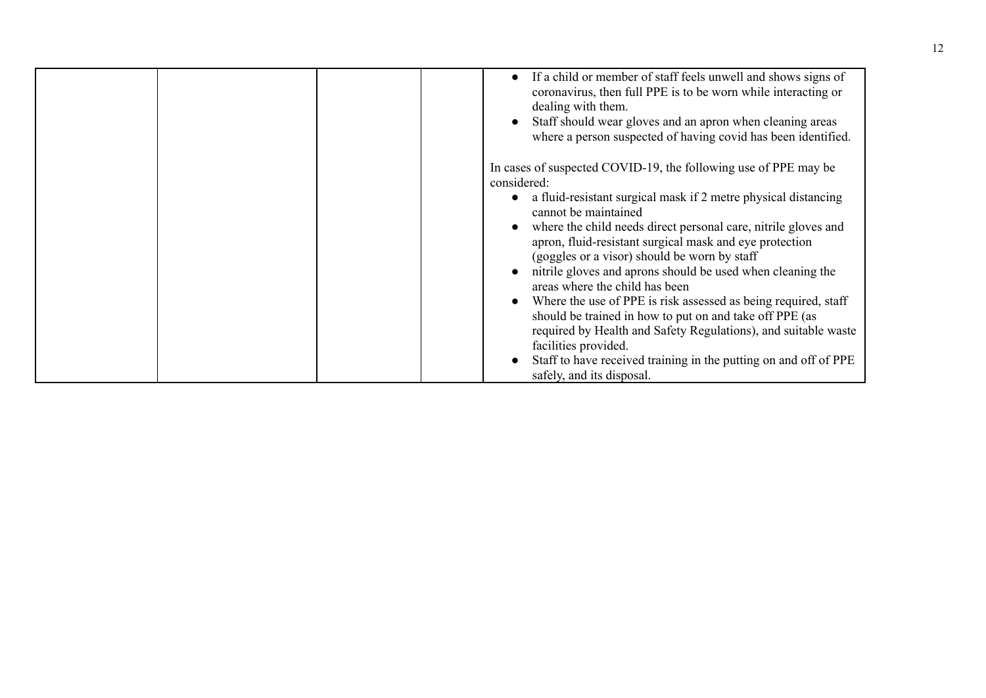|  | If a child or member of staff feels unwell and shows signs of                          |
|--|----------------------------------------------------------------------------------------|
|  | coronavirus, then full PPE is to be worn while interacting or                          |
|  |                                                                                        |
|  | dealing with them.                                                                     |
|  | Staff should wear gloves and an apron when cleaning areas                              |
|  | where a person suspected of having covid has been identified.                          |
|  | In cases of suspected COVID-19, the following use of PPE may be                        |
|  | considered:                                                                            |
|  | a fluid-resistant surgical mask if 2 metre physical distancing<br>cannot be maintained |
|  | where the child needs direct personal care, nitrile gloves and                         |
|  | apron, fluid-resistant surgical mask and eye protection                                |
|  | (goggles or a visor) should be worn by staff                                           |
|  | nitrile gloves and aprons should be used when cleaning the                             |
|  | areas where the child has been                                                         |
|  | Where the use of PPE is risk assessed as being required, staff                         |
|  | should be trained in how to put on and take off PPE (as                                |
|  | required by Health and Safety Regulations), and suitable waste                         |
|  | facilities provided.                                                                   |
|  | Staff to have received training in the putting on and off of PPE                       |
|  | safely, and its disposal.                                                              |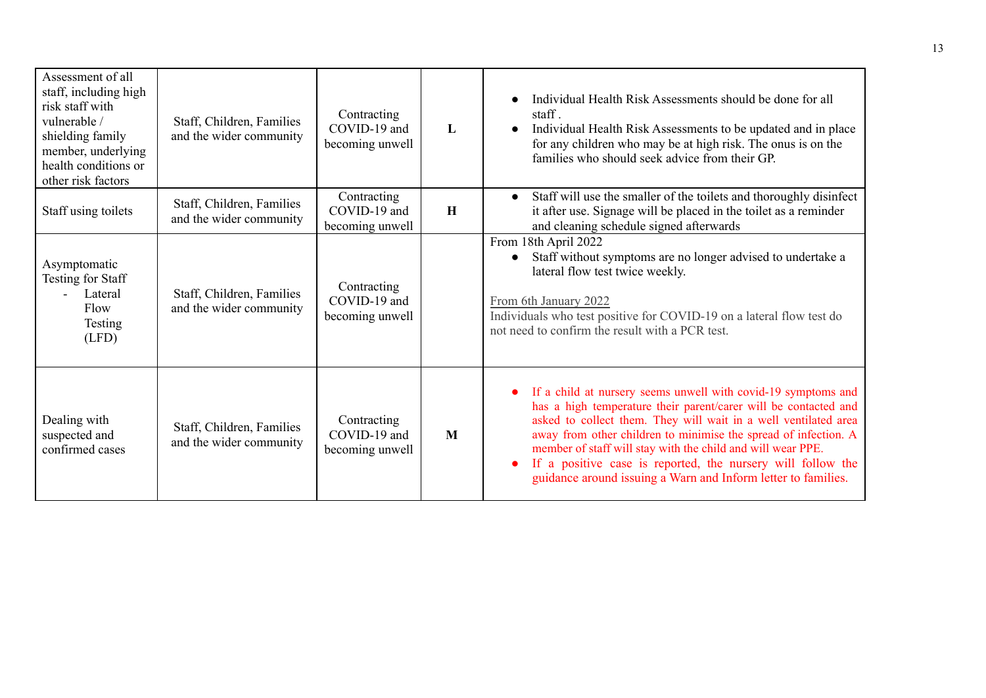| Assessment of all<br>staff, including high<br>risk staff with<br>vulnerable /<br>shielding family<br>member, underlying<br>health conditions or<br>other risk factors | Staff, Children, Families<br>and the wider community | Contracting<br>COVID-19 and<br>becoming unwell | L | Individual Health Risk Assessments should be done for all<br>staff.<br>Individual Health Risk Assessments to be updated and in place<br>for any children who may be at high risk. The onus is on the<br>families who should seek advice from their GP.                                                                                                                                                                                                                |
|-----------------------------------------------------------------------------------------------------------------------------------------------------------------------|------------------------------------------------------|------------------------------------------------|---|-----------------------------------------------------------------------------------------------------------------------------------------------------------------------------------------------------------------------------------------------------------------------------------------------------------------------------------------------------------------------------------------------------------------------------------------------------------------------|
| Staff using toilets                                                                                                                                                   | Staff, Children, Families<br>and the wider community | Contracting<br>COVID-19 and<br>becoming unwell | H | Staff will use the smaller of the toilets and thoroughly disinfect<br>$\bullet$<br>it after use. Signage will be placed in the toilet as a reminder<br>and cleaning schedule signed afterwards                                                                                                                                                                                                                                                                        |
| Asymptomatic<br><b>Testing for Staff</b><br>Lateral<br>Flow<br>Testing<br>(LFD)                                                                                       | Staff, Children, Families<br>and the wider community | Contracting<br>COVID-19 and<br>becoming unwell |   | From 18th April 2022<br>Staff without symptoms are no longer advised to undertake a<br>$\bullet$<br>lateral flow test twice weekly.<br>From 6th January 2022<br>Individuals who test positive for COVID-19 on a lateral flow test do<br>not need to confirm the result with a PCR test.                                                                                                                                                                               |
| Dealing with<br>suspected and<br>confirmed cases                                                                                                                      | Staff, Children, Families<br>and the wider community | Contracting<br>COVID-19 and<br>becoming unwell | M | If a child at nursery seems unwell with covid-19 symptoms and<br>has a high temperature their parent/carer will be contacted and<br>asked to collect them. They will wait in a well ventilated area<br>away from other children to minimise the spread of infection. A<br>member of staff will stay with the child and will wear PPE.<br>If a positive case is reported, the nursery will follow the<br>guidance around issuing a Warn and Inform letter to families. |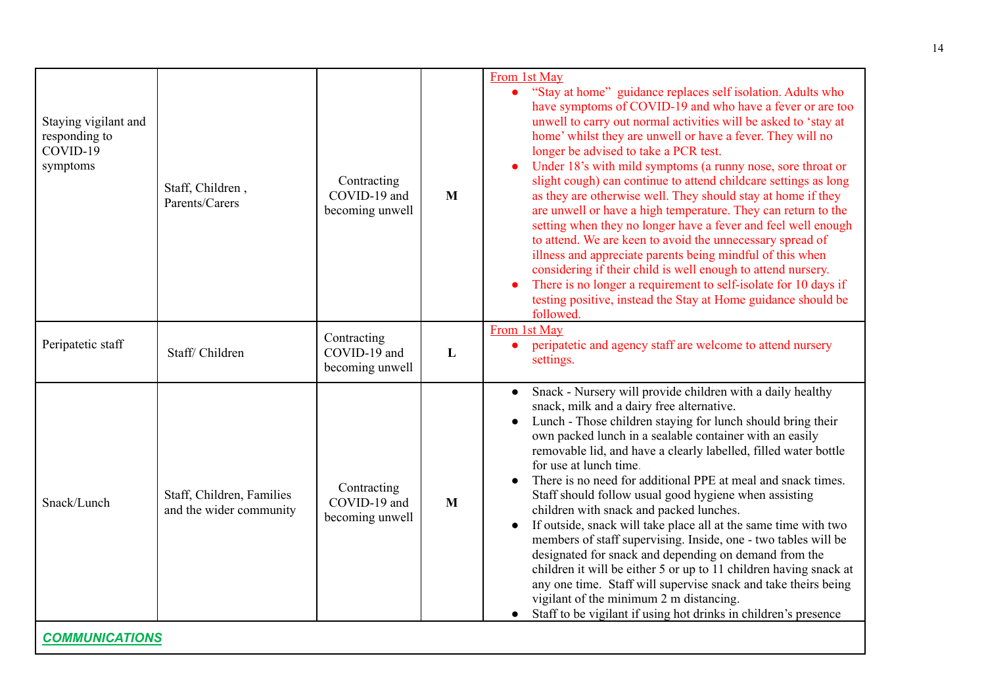| Staying vigilant and<br>responding to<br>COVID-19<br>symptoms | Staff, Children,<br>Parents/Carers                   | Contracting<br>COVID-19 and<br>becoming unwell | M | From 1st May<br>"Stay at home" guidance replaces self isolation. Adults who<br>$\bullet$<br>have symptoms of COVID-19 and who have a fever or are too<br>unwell to carry out normal activities will be asked to 'stay at<br>home' whilst they are unwell or have a fever. They will no<br>longer be advised to take a PCR test.<br>Under 18's with mild symptoms (a runny nose, sore throat or<br>slight cough) can continue to attend childcare settings as long<br>as they are otherwise well. They should stay at home if they<br>are unwell or have a high temperature. They can return to the<br>setting when they no longer have a fever and feel well enough<br>to attend. We are keen to avoid the unnecessary spread of<br>illness and appreciate parents being mindful of this when<br>considering if their child is well enough to attend nursery.<br>There is no longer a requirement to self-isolate for 10 days if<br>testing positive, instead the Stay at Home guidance should be<br>followed. |
|---------------------------------------------------------------|------------------------------------------------------|------------------------------------------------|---|----------------------------------------------------------------------------------------------------------------------------------------------------------------------------------------------------------------------------------------------------------------------------------------------------------------------------------------------------------------------------------------------------------------------------------------------------------------------------------------------------------------------------------------------------------------------------------------------------------------------------------------------------------------------------------------------------------------------------------------------------------------------------------------------------------------------------------------------------------------------------------------------------------------------------------------------------------------------------------------------------------------|
| Peripatetic staff                                             | Staff/Children                                       | Contracting<br>COVID-19 and<br>becoming unwell | L | From 1st May<br>peripatetic and agency staff are welcome to attend nursery<br>$\bullet$<br>settings.                                                                                                                                                                                                                                                                                                                                                                                                                                                                                                                                                                                                                                                                                                                                                                                                                                                                                                           |
| Snack/Lunch                                                   | Staff, Children, Families<br>and the wider community | Contracting<br>COVID-19 and<br>becoming unwell | M | Snack - Nursery will provide children with a daily healthy<br>snack, milk and a dairy free alternative.<br>Lunch - Those children staying for lunch should bring their<br>own packed lunch in a sealable container with an easily<br>removable lid, and have a clearly labelled, filled water bottle<br>for use at lunch time.<br>There is no need for additional PPE at meal and snack times.<br>Staff should follow usual good hygiene when assisting<br>children with snack and packed lunches.<br>If outside, snack will take place all at the same time with two<br>members of staff supervising. Inside, one - two tables will be<br>designated for snack and depending on demand from the<br>children it will be either 5 or up to 11 children having snack at<br>any one time. Staff will supervise snack and take theirs being<br>vigilant of the minimum 2 m distancing.<br>Staff to be vigilant if using hot drinks in children's presence                                                          |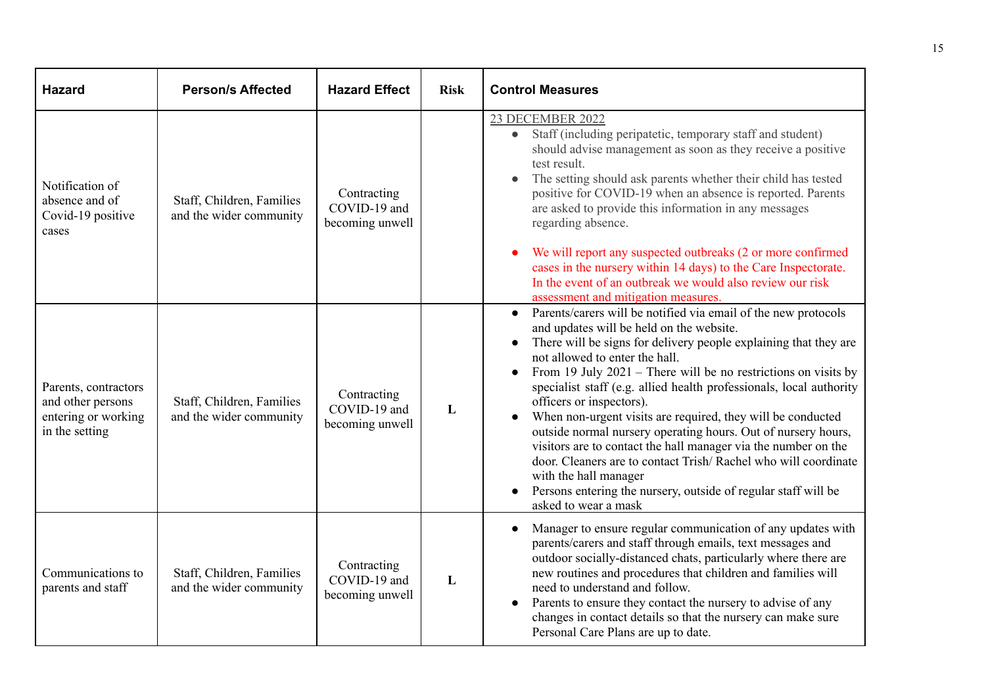| <b>Hazard</b>                                                                      | <b>Person/s Affected</b>                             | <b>Hazard Effect</b>                           | <b>Risk</b> | <b>Control Measures</b>                                                                                                                                                                                                                                                                                                                                                                                                                                                                                                                                                                                                                                                                                                                                                                                  |
|------------------------------------------------------------------------------------|------------------------------------------------------|------------------------------------------------|-------------|----------------------------------------------------------------------------------------------------------------------------------------------------------------------------------------------------------------------------------------------------------------------------------------------------------------------------------------------------------------------------------------------------------------------------------------------------------------------------------------------------------------------------------------------------------------------------------------------------------------------------------------------------------------------------------------------------------------------------------------------------------------------------------------------------------|
| Notification of<br>absence and of<br>Covid-19 positive<br>cases                    | Staff, Children, Families<br>and the wider community | Contracting<br>COVID-19 and<br>becoming unwell |             | 23 DECEMBER 2022<br>Staff (including peripatetic, temporary staff and student)<br>$\bullet$<br>should advise management as soon as they receive a positive<br>test result.<br>The setting should ask parents whether their child has tested<br>$\bullet$<br>positive for COVID-19 when an absence is reported. Parents<br>are asked to provide this information in any messages<br>regarding absence.<br>We will report any suspected outbreaks (2 or more confirmed<br>cases in the nursery within 14 days) to the Care Inspectorate.<br>In the event of an outbreak we would also review our risk<br>assessment and mitigation measures.                                                                                                                                                               |
| Parents, contractors<br>and other persons<br>entering or working<br>in the setting | Staff, Children, Families<br>and the wider community | Contracting<br>COVID-19 and<br>becoming unwell | L           | Parents/carers will be notified via email of the new protocols<br>$\bullet$<br>and updates will be held on the website.<br>There will be signs for delivery people explaining that they are<br>not allowed to enter the hall.<br>From 19 July $2021$ – There will be no restrictions on visits by<br>$\bullet$<br>specialist staff (e.g. allied health professionals, local authority<br>officers or inspectors).<br>When non-urgent visits are required, they will be conducted<br>outside normal nursery operating hours. Out of nursery hours,<br>visitors are to contact the hall manager via the number on the<br>door. Cleaners are to contact Trish/Rachel who will coordinate<br>with the hall manager<br>Persons entering the nursery, outside of regular staff will be<br>asked to wear a mask |
| Communications to<br>parents and staff                                             | Staff, Children, Families<br>and the wider community | Contracting<br>COVID-19 and<br>becoming unwell | L           | Manager to ensure regular communication of any updates with<br>parents/carers and staff through emails, text messages and<br>outdoor socially-distanced chats, particularly where there are<br>new routines and procedures that children and families will<br>need to understand and follow.<br>Parents to ensure they contact the nursery to advise of any<br>changes in contact details so that the nursery can make sure<br>Personal Care Plans are up to date.                                                                                                                                                                                                                                                                                                                                       |